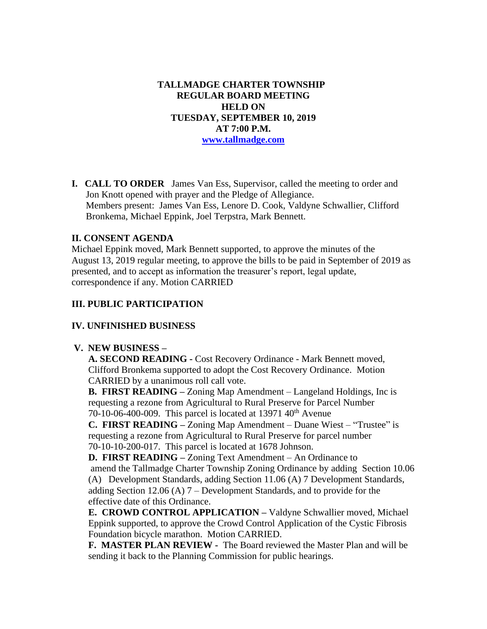**TALLMADGE CHARTER TOWNSHIP REGULAR BOARD MEETING HELD ON TUESDAY, SEPTEMBER 10, 2019 AT 7:00 P.M. [www.tallmadge.com](http://www.tallmadge.com/)**

**I. CALL TO ORDER** James Van Ess, Supervisor, called the meeting to order and Jon Knott opened with prayer and the Pledge of Allegiance. Members present: James Van Ess, Lenore D. Cook, Valdyne Schwallier, Clifford Bronkema, Michael Eppink, Joel Terpstra, Mark Bennett.

## **II. CONSENT AGENDA**

Michael Eppink moved, Mark Bennett supported, to approve the minutes of the August 13, 2019 regular meeting, to approve the bills to be paid in September of 2019 as presented, and to accept as information the treasurer's report, legal update, correspondence if any. Motion CARRIED

## **III. PUBLIC PARTICIPATION**

#### **IV. UNFINISHED BUSINESS**

#### **V. NEW BUSINESS –**

 **A. SECOND READING -** Cost Recovery Ordinance - Mark Bennett moved, Clifford Bronkema supported to adopt the Cost Recovery Ordinance. Motion CARRIED by a unanimous roll call vote.

 **B. FIRST READING –** Zoning Map Amendment – Langeland Holdings, Inc is requesting a rezone from Agricultural to Rural Preserve for Parcel Number 70-10-06-400-009. This parcel is located at  $13971$   $40<sup>th</sup>$  Avenue

 **C. FIRST READING –** Zoning Map Amendment – Duane Wiest – "Trustee" is requesting a rezone from Agricultural to Rural Preserve for parcel number 70-10-10-200-017. This parcel is located at 1678 Johnson.

 **D. FIRST READING –** Zoning Text Amendment – An Ordinance to amend the Tallmadge Charter Township Zoning Ordinance by adding Section 10.06 (A) Development Standards, adding Section 11.06 (A) 7 Development Standards, adding Section 12.06 (A) 7 – Development Standards, and to provide for the effective date of this Ordinance.

**E. CROWD CONTROL APPLICATION –** Valdyne Schwallier moved, Michael Eppink supported, to approve the Crowd Control Application of the Cystic Fibrosis Foundation bicycle marathon. Motion CARRIED.

**F. MASTER PLAN REVIEW -** The Board reviewed the Master Plan and will be sending it back to the Planning Commission for public hearings.